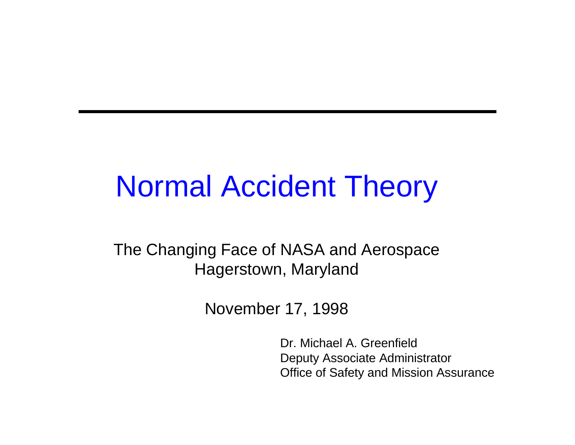# Normal Accident Theory

The Changing Face of NASA and Aerospace Hagerstown, Maryland

November 17, 1998

Dr. Michael A. Greenfield Deputy Associate Administrator Office of Safety and Mission Assurance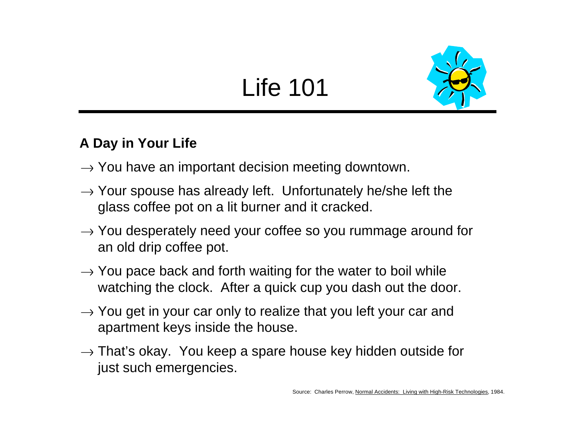## Life 101



#### **A Day in Your Life**

- $\rightarrow$  You have an important decision meeting downtown.
- $\rightarrow$  Your spouse has already left. Unfortunately he/she left the glass coffee pot on a lit burner and it cracked.
- $\rightarrow$  You desperately need your coffee so you rummage around for an old drip coffee pot.
- $\rightarrow$  You pace back and forth waiting for the water to boil while watching the clock. After a quick cup you dash out the door.
- $\rightarrow$  You get in your car only to realize that you left your car and apartment keys inside the house.
- $\rightarrow$  That's okay. You keep a spare house key hidden outside for just such emergencies.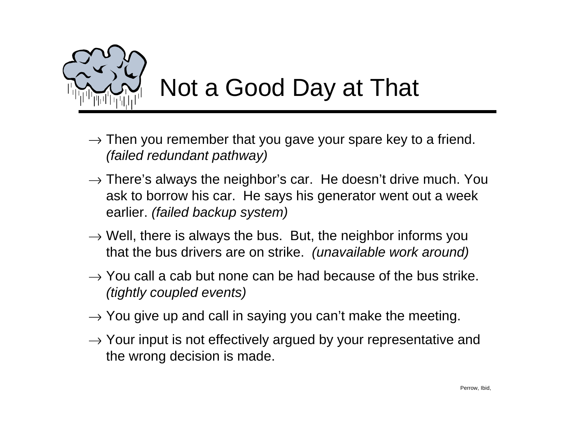

## Not a Good Day at That

- $\rightarrow$  Then you remember that you gave your spare key to a friend. *(failed redundant pathway)*
- $\rightarrow$  There's always the neighbor's car. He doesn't drive much. You ask to borrow his car. He says his generator went out a week earlier. *(failed backup system)*
- $\rightarrow$  Well, there is always the bus. But, the neighbor informs you that the bus drivers are on strike. *(unavailable work around)*
- $\rightarrow$  You call a cab but none can be had because of the bus strike. *(tightly coupled events)*
- $\rightarrow$  You give up and call in saying you can't make the meeting.
- $\rightarrow$  Your input is not effectively argued by your representative and the wrong decision is made.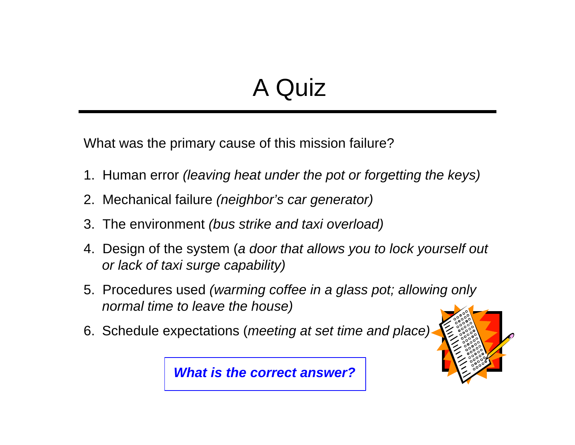### A Quiz

What was the primary cause of this mission failure?

- 1. Human error *(leaving heat under the pot or forgetting the keys)*
- 2. Mechanical failure *(neighbor's car generator)*
- 3. The environment *(bus strike and taxi overload)*
- 4. Design of the system (*a door that allows you to lock yourself out or lack of taxi surge capability)*
- 5. Procedures used *(warming coffee in a glass pot; allowing only normal time to leave the house)*
- 6. Schedule expectations (*meeting at set time and place)*



*What is the correct answer?*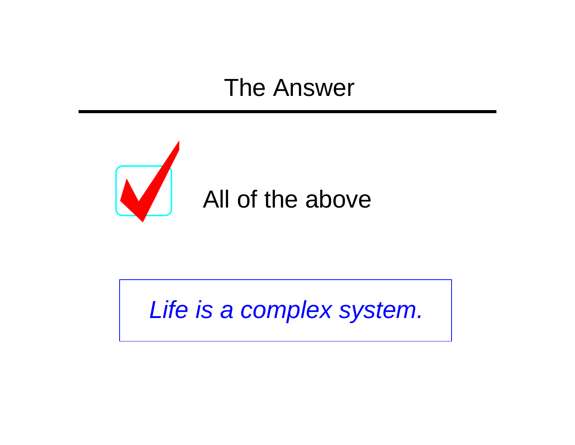#### The Answer



*Life is a complex system.*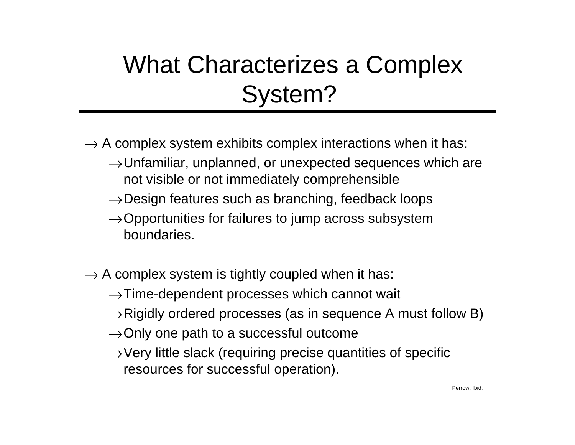### What Characterizes a Complex System?

- $\rightarrow$  A complex system exhibits complex interactions when it has:
	- $\rightarrow$ Unfamiliar, unplanned, or unexpected sequences which are not visible or not immediately comprehensible
	- $\rightarrow$  Design features such as branching, feedback loops
	- $\rightarrow$  Opportunities for failures to jump across subsystem boundaries.
- $\rightarrow$  A complex system is tightly coupled when it has:
	- $\rightarrow$ Time-dependent processes which cannot wait
	- $\rightarrow$  Rigidly ordered processes (as in sequence A must follow B)
	- $\rightarrow$  Only one path to a successful outcome
	- $\rightarrow$  Very little slack (requiring precise quantities of specific resources for successful operation).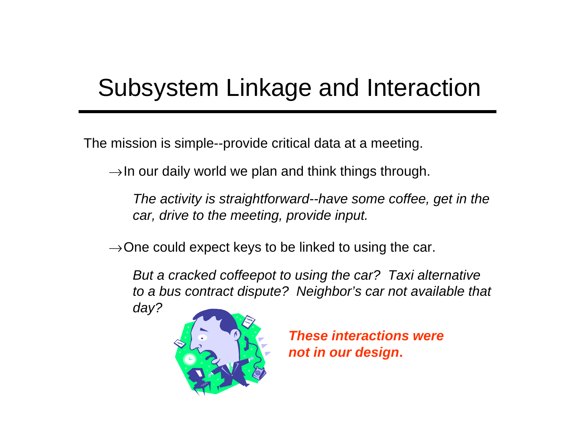#### Subsystem Linkage and Interaction

The mission is simple--provide critical data at a meeting.

 $\rightarrow$  In our daily world we plan and think things through.

*The activity is straightforward--have some coffee, get in the car, drive to the meeting, provide input.*

 $\rightarrow$  One could expect keys to be linked to using the car.

*But a cracked coffeepot to using the car? Taxi alternative to a bus contract dispute? Neighbor's car not available that day?*

*These interactions were not in our design***.**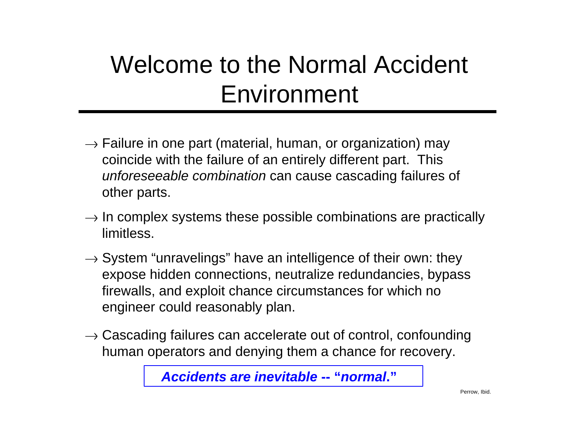### Welcome to the Normal Accident Environment

- $\rightarrow$  Failure in one part (material, human, or organization) may coincide with the failure of an entirely different part. This *unforeseeable combination* can cause cascading failures of other parts.
- $\rightarrow$  In complex systems these possible combinations are practically limitless.
- $\rightarrow$  System "unravelings" have an intelligence of their own: they expose hidden connections, neutralize redundancies, bypass firewalls, and exploit chance circumstances for which no engineer could reasonably plan.
- $\rightarrow$  Cascading failures can accelerate out of control, confounding human operators and denying them a chance for recovery.

*Accidents are inevitable* **-- "***normal***."**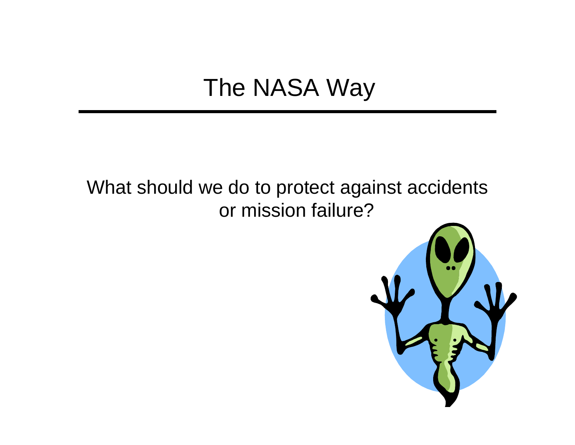### The NASA Way

#### What should we do to protect against accidents or mission failure?

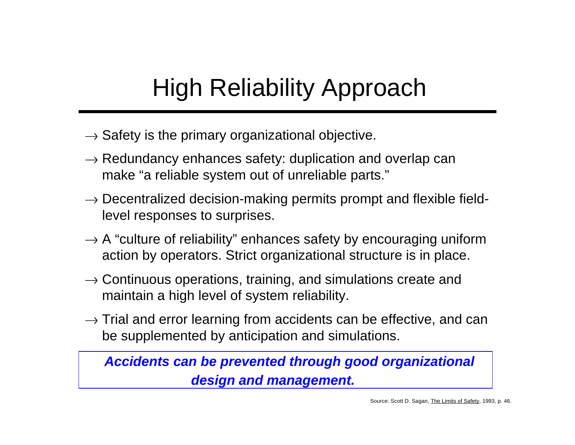### High Reliability Approach

- $\rightarrow$  Safety is the primary organizational objective.
- $\rightarrow$  Redundancy enhances safety: duplication and overlap can make "a reliable system out of unreliable parts."
- $\rightarrow$  Decentralized decision-making permits prompt and flexible fieldlevel responses to surprises.
- $\rightarrow$  A "culture of reliability" enhances safety by encouraging uniform action by operators. Strict organizational structure is in place.
- $\rightarrow$  Continuous operations, training, and simulations create and maintain a high level of system reliability.
- $\rightarrow$  Trial and error learning from accidents can be effective, and can be supplemented by anticipation and simulations.

*Accidents can be prevented through good organizational design and management.*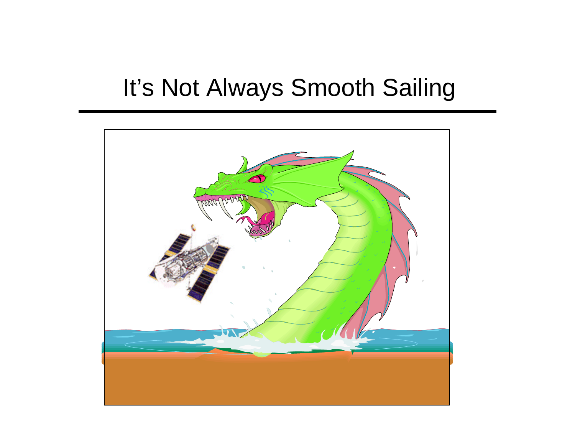#### It's Not Always Smooth Sailing

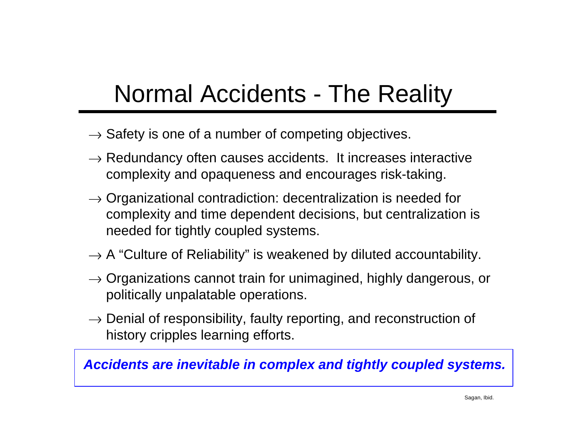### Normal Accidents - The Reality

- $\rightarrow$  Safety is one of a number of competing objectives.
- $\rightarrow$  Redundancy often causes accidents. It increases interactive complexity and opaqueness and encourages risk-taking.
- $\rightarrow$  Organizational contradiction: decentralization is needed for complexity and time dependent decisions, but centralization is needed for tightly coupled systems.
- $\rightarrow$  A "Culture of Reliability" is weakened by diluted accountability.
- $\rightarrow$  Organizations cannot train for unimagined, highly dangerous, or politically unpalatable operations.
- $\rightarrow$  Denial of responsibility, faulty reporting, and reconstruction of history cripples learning efforts.

*Accidents are inevitable in complex and tightly coupled systems.*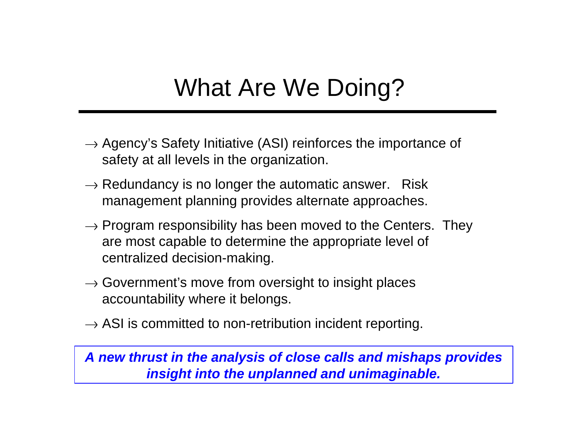### What Are We Doing?

- $\rightarrow$  Agency's Safety Initiative (ASI) reinforces the importance of safety at all levels in the organization.
- $\rightarrow$  Redundancy is no longer the automatic answer. Risk management planning provides alternate approaches.
- $\rightarrow$  Program responsibility has been moved to the Centers. They are most capable to determine the appropriate level of centralized decision-making.
- $\rightarrow$  Government's move from oversight to insight places accountability where it belongs.
- $\rightarrow$  ASI is committed to non-retribution incident reporting.

*A new thrust in the analysis of close calls and mishaps provides insight into the unplanned and unimaginable.*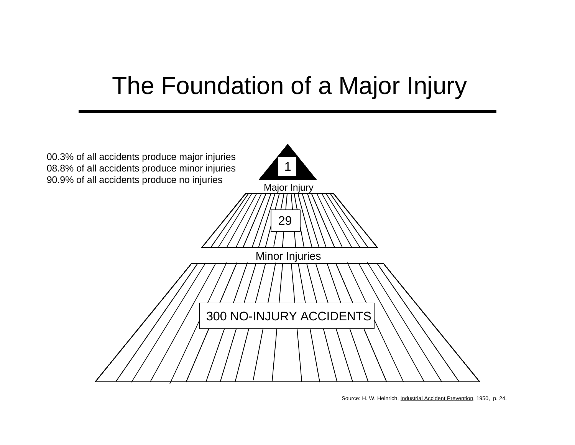#### The Foundation of a Major Injury



Source: H. W. Heinrich, Industrial Accident Prevention, 1950, p. 24.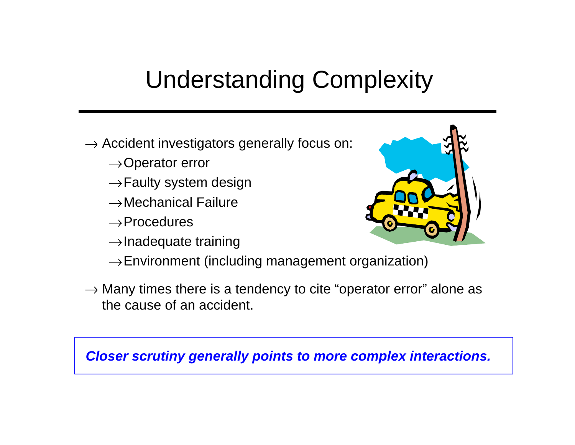### Understanding Complexity

- $\rightarrow$  Accident investigators generally focus on:
	- $\rightarrow$ Operator error
	- $\rightarrow$  Faulty system design
	- $\rightarrow$ Mechanical Failure
	- $\rightarrow$ Procedures
	- $\rightarrow$ Inadequate training



- $\rightarrow$  Environment (including management organization)
- $\rightarrow$  Many times there is a tendency to cite "operator error" alone as the cause of an accident.

*Closer scrutiny generally points to more complex interactions.*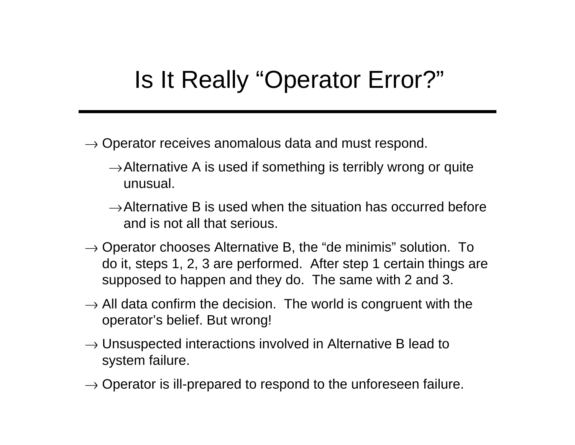#### Is It Really "Operator Error?"

- $\rightarrow$  Operator receives anomalous data and must respond.
	- $\rightarrow$  Alternative A is used if something is terribly wrong or quite unusual.
	- $\rightarrow$  Alternative B is used when the situation has occurred before and is not all that serious.
- $\rightarrow$  Operator chooses Alternative B, the "de minimis" solution. To do it, steps 1, 2, 3 are performed. After step 1 certain things are supposed to happen and they do. The same with 2 and 3.
- $\rightarrow$  All data confirm the decision. The world is congruent with the operator's belief. But wrong!
- $\rightarrow$  Unsuspected interactions involved in Alternative B lead to system failure.
- $\rightarrow$  Operator is ill-prepared to respond to the unforeseen failure.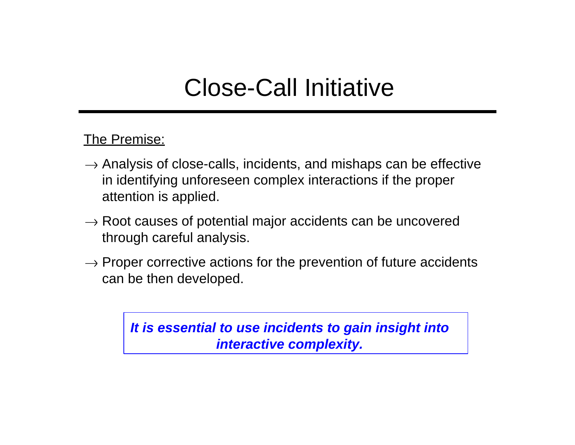#### Close-Call Initiative

The Premise:

- $\rightarrow$  Analysis of close-calls, incidents, and mishaps can be effective in identifying unforeseen complex interactions if the proper attention is applied.
- $\rightarrow$  Root causes of potential major accidents can be uncovered through careful analysis.
- $\rightarrow$  Proper corrective actions for the prevention of future accidents can be then developed.

*It is essential to use incidents to gain insight into interactive complexity.*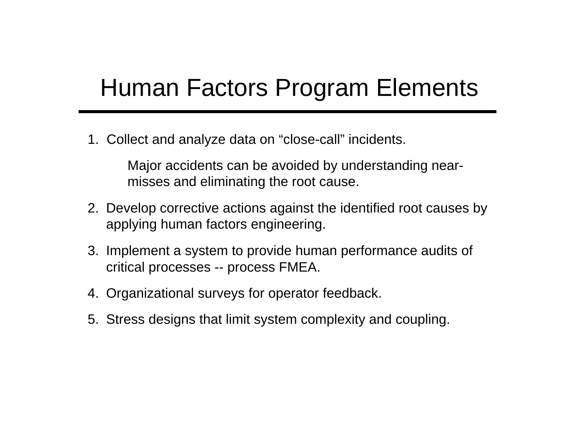#### Human Factors Program Elements

1. Collect and analyze data on "close-call" incidents.

Major accidents can be avoided by understanding nearmisses and eliminating the root cause.

- 2. Develop corrective actions against the identified root causes by applying human factors engineering.
- 3. Implement a system to provide human performance audits of critical processes -- process FMEA.
- 4. Organizational surveys for operator feedback.
- 5. Stress designs that limit system complexity and coupling.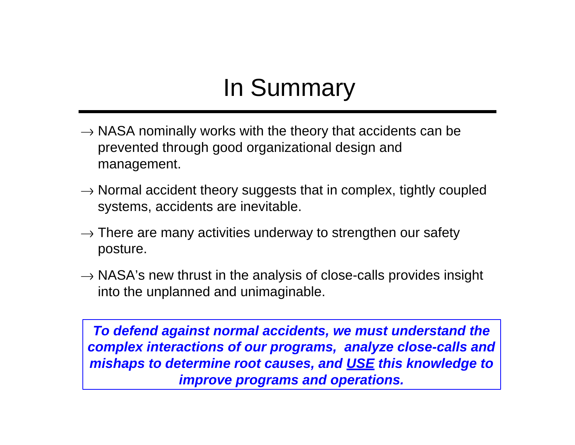### In Summary

- $\rightarrow$  NASA nominally works with the theory that accidents can be prevented through good organizational design and management.
- $\rightarrow$  Normal accident theory suggests that in complex, tightly coupled systems, accidents are inevitable.
- $\rightarrow$  There are many activities underway to strengthen our safety posture.
- $\rightarrow$  NASA's new thrust in the analysis of close-calls provides insight into the unplanned and unimaginable.

*To defend against normal accidents, we must understand the complex interactions of our programs, analyze close-calls and mishaps to determine root causes, and USE this knowledge to improve programs and operations.*